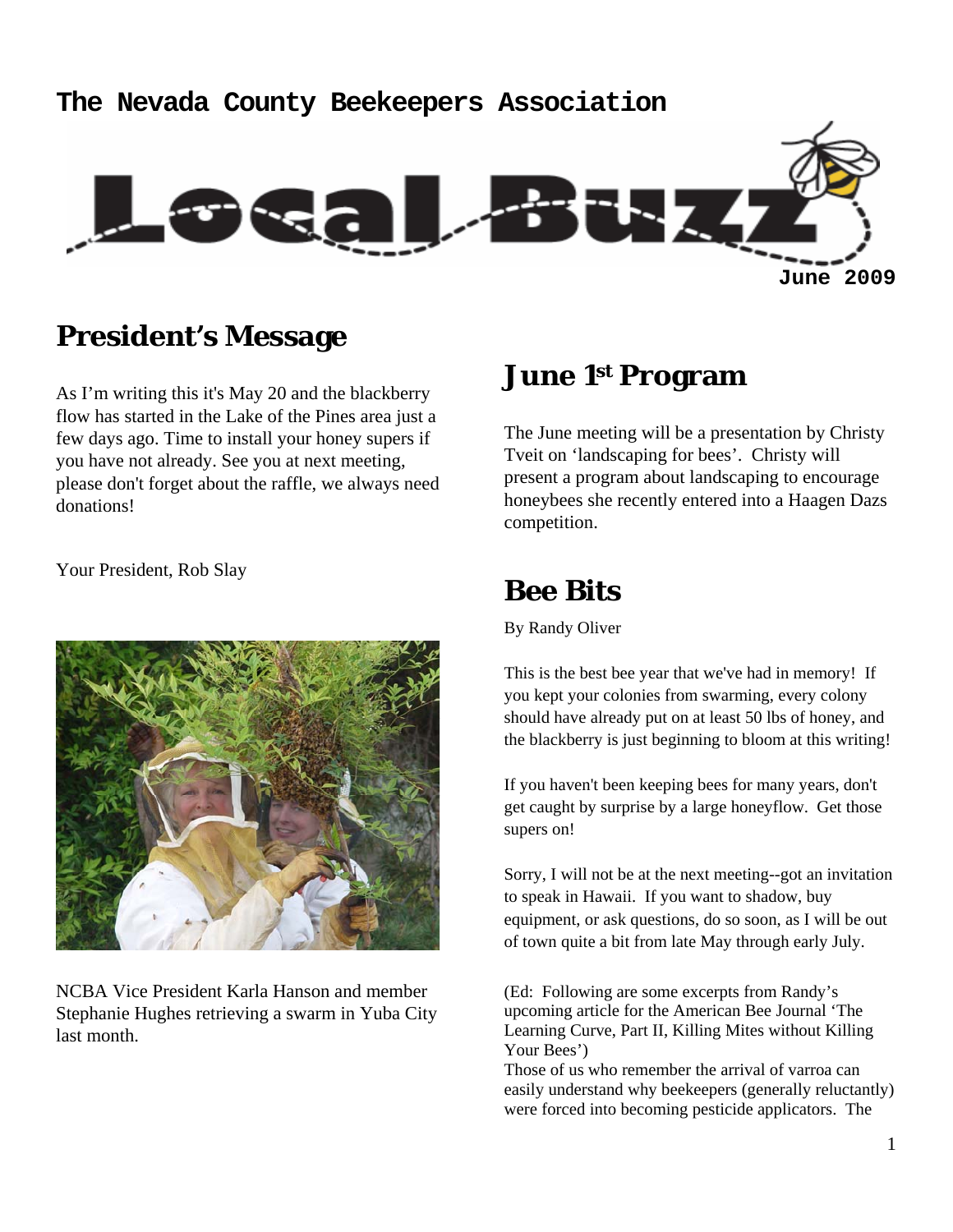# **The Nevada County Beekeepers Association June 2009**

# **President's Message**

As I'm writing this it's May 20 and the blackberry flow has started in the Lake of the Pines area just a few days ago. Time to install your honey supers if you have not already. See you at next meeting, please don't forget about the raffle, we always need donations!

### Your President, Rob Slay



NCBA Vice President Karla Hanson and member Stephanie Hughes retrieving a swarm in Yuba City last month.

# **June 1st Program**

The June meeting will be a presentation by Christy Tveit on 'landscaping for bees'. Christy will present a program about landscaping to encourage honeybees she recently entered into a Haagen Dazs competition.

## **Bee Bits**

By Randy Oliver

This is the best bee year that we've had in memory! If you kept your colonies from swarming, every colony should have already put on at least 50 lbs of honey, and the blackberry is just beginning to bloom at this writing!

If you haven't been keeping bees for many years, don't get caught by surprise by a large honeyflow. Get those supers on!

Sorry, I will not be at the next meeting--got an invitation to speak in Hawaii. If you want to shadow, buy equipment, or ask questions, do so soon, as I will be out of town quite a bit from late May through early July.

(Ed: Following are some excerpts from Randy's upcoming article for the American Bee Journal 'The Learning Curve, Part II, Killing Mites without Killing Your Bees')

Those of us who remember the arrival of varroa can easily understand why beekeepers (generally reluctantly) were forced into becoming pesticide applicators. The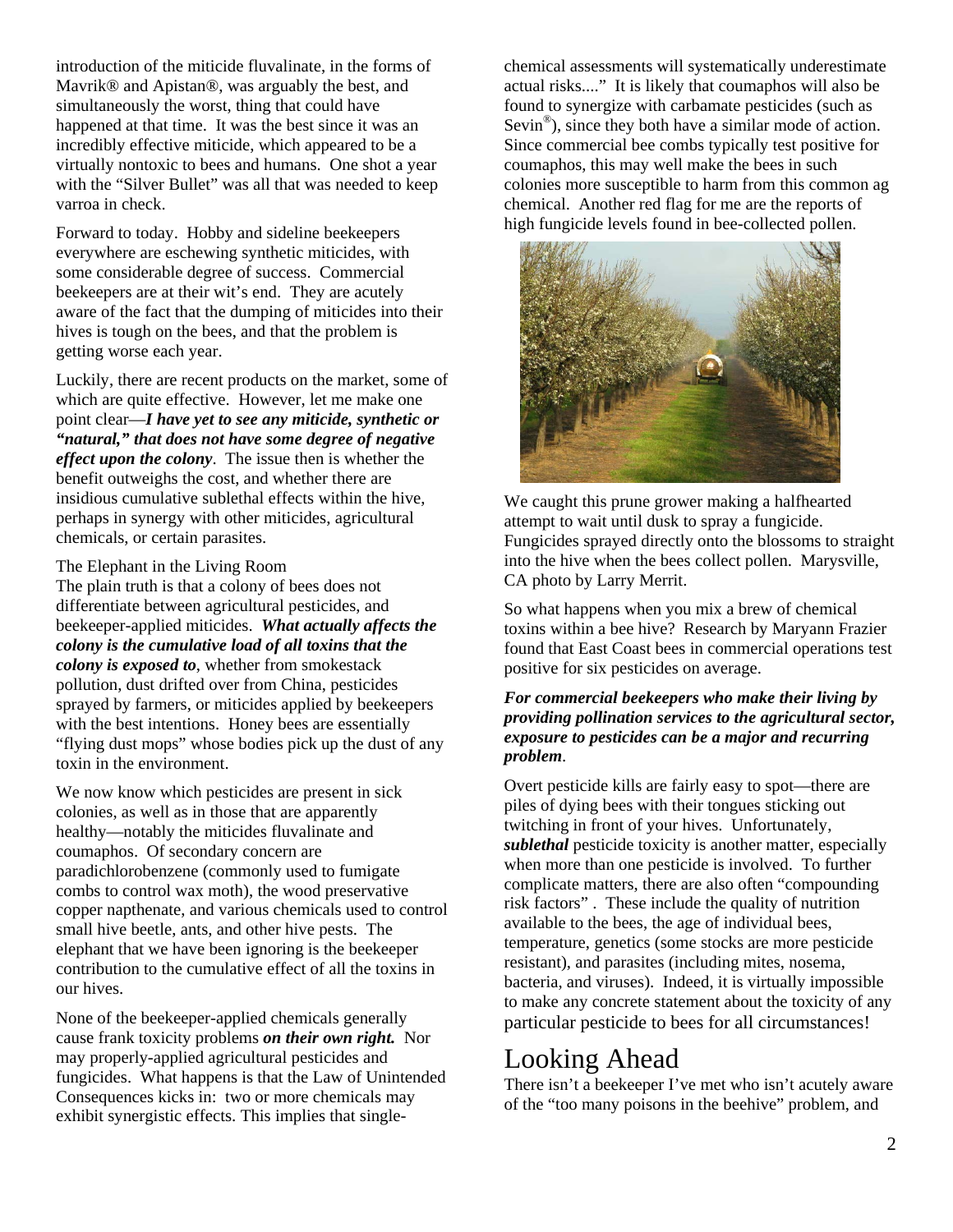introduction of the miticide fluvalinate, in the forms of Mavrik® and Apistan®, was arguably the best, and simultaneously the worst, thing that could have happened at that time. It was the best since it was an incredibly effective miticide, which appeared to be a virtually nontoxic to bees and humans. One shot a year with the "Silver Bullet" was all that was needed to keep varroa in check.

Forward to today. Hobby and sideline beekeepers everywhere are eschewing synthetic miticides, with some considerable degree of success. Commercial beekeepers are at their wit's end. They are acutely aware of the fact that the dumping of miticides into their hives is tough on the bees, and that the problem is getting worse each year.

Luckily, there are recent products on the market, some of which are quite effective. However, let me make one point clear—*I have yet to see any miticide, synthetic or "natural," that does not have some degree of negative effect upon the colony*. The issue then is whether the benefit outweighs the cost, and whether there are insidious cumulative sublethal effects within the hive, perhaps in synergy with other miticides, agricultural chemicals, or certain parasites.

#### The Elephant in the Living Room

The plain truth is that a colony of bees does not differentiate between agricultural pesticides, and beekeeper-applied miticides. *What actually affects the colony is the cumulative load of all toxins that the colony is exposed to*, whether from smokestack pollution, dust drifted over from China, pesticides sprayed by farmers, or miticides applied by beekeepers with the best intentions. Honey bees are essentially "flying dust mops" whose bodies pick up the dust of any toxin in the environment.

We now know which pesticides are present in sick colonies, as well as in those that are apparently healthy—notably the miticides fluvalinate and coumaphos. Of secondary concern are paradichlorobenzene (commonly used to fumigate combs to control wax moth), the wood preservative copper napthenate, and various chemicals used to control small hive beetle, ants, and other hive pests. The elephant that we have been ignoring is the beekeeper contribution to the cumulative effect of all the toxins in our hives.

None of the beekeeper-applied chemicals generally cause frank toxicity problems *on their own right.* Nor may properly-applied agricultural pesticides and fungicides. What happens is that the Law of Unintended Consequences kicks in: two or more chemicals may exhibit synergistic effects. This implies that singlechemical assessments will systematically underestimate actual risks...." It is likely that coumaphos will also be found to synergize with carbamate pesticides (such as Sevin<sup>®</sup>), since they both have a similar mode of action. Since commercial bee combs typically test positive for coumaphos, this may well make the bees in such colonies more susceptible to harm from this common ag chemical. Another red flag for me are the reports of high fungicide levels found in bee-collected pollen.



We caught this prune grower making a halfhearted attempt to wait until dusk to spray a fungicide. Fungicides sprayed directly onto the blossoms to straight into the hive when the bees collect pollen. Marysville, CA photo by Larry Merrit.

So what happens when you mix a brew of chemical toxins within a bee hive? Research by Maryann Frazier found that East Coast bees in commercial operations test positive for six pesticides on average.

#### *For commercial beekeepers who make their living by providing pollination services to the agricultural sector, exposure to pesticides can be a major and recurring problem*.

Overt pesticide kills are fairly easy to spot—there are piles of dying bees with their tongues sticking out twitching in front of your hives. Unfortunately, *sublethal* pesticide toxicity is another matter, especially when more than one pesticide is involved. To further complicate matters, there are also often "compounding risk factors" . These include the quality of nutrition available to the bees, the age of individual bees, temperature, genetics (some stocks are more pesticide resistant), and parasites (including mites, nosema, bacteria, and viruses). Indeed, it is virtually impossible to make any concrete statement about the toxicity of any particular pesticide to bees for all circumstances!

## Looking Ahead

There isn't a beekeeper I've met who isn't acutely aware of the "too many poisons in the beehive" problem, and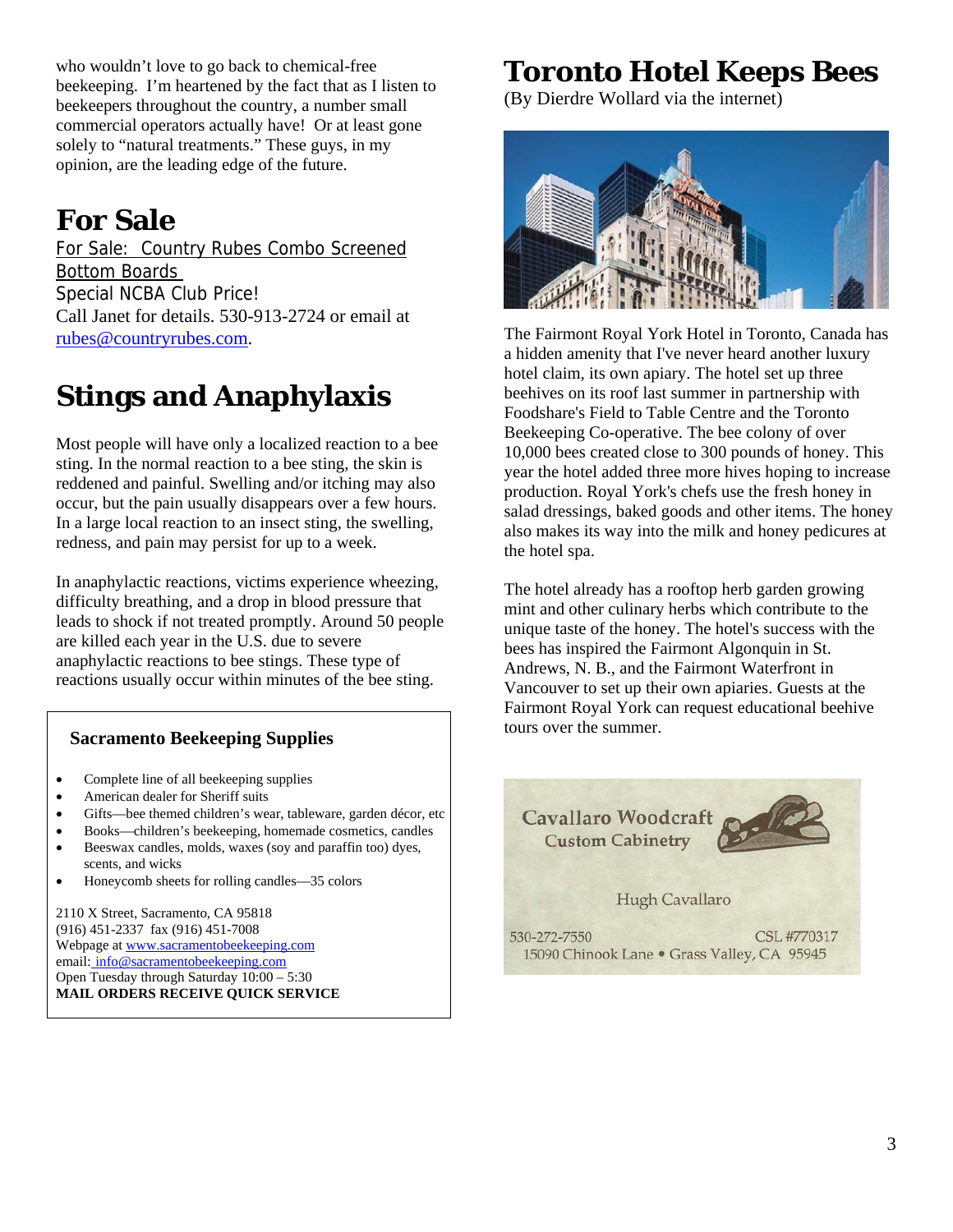who wouldn't love to go back to chemical-free beekeeping. I'm heartened by the fact that as I listen to beekeepers throughout the country, a number small commercial operators actually have! Or at least gone solely to "natural treatments." These guys, in my opinion, are the leading edge of the future.

# **For Sale**

For Sale: Country Rubes Combo Screened Bottom Boards Special NCBA Club Price! Call Janet for details. 530-913-2724 or email at rubes@countryrubes.com.

# **Stings and Anaphylaxis**

Most people will have only a localized reaction to a bee sting. In the normal reaction to a bee sting, the skin is reddened and painful. Swelling and/or itching may also occur, but the pain usually disappears over a few hours. In a large local reaction to an insect sting, the swelling, redness, and pain may persist for up to a week.

In anaphylactic reactions, victims experience wheezing, difficulty breathing, and a drop in blood pressure that leads to shock if not treated promptly. Around 50 people are killed each year in the U.S. due to severe anaphylactic reactions to bee stings. These type of reactions usually occur within minutes of the bee sting.

## **Sacramento Beekeeping Supplies**

- Complete line of all beekeeping supplies
- American dealer for Sheriff suits
- Gifts—bee themed children's wear, tableware, garden décor, etc
- Books—children's beekeeping, homemade cosmetics, candles
- Beeswax candles, molds, waxes (soy and paraffin too) dyes, scents, and wicks
- Honeycomb sheets for rolling candles—35 colors

2110 X Street, Sacramento, CA 95818 (916) 451-2337 fax (916) 451-7008 Webpage at www.sacramentobeekeeping.com email: info@sacramentobeekeeping.com Open Tuesday through Saturday 10:00 – 5:30 **MAIL ORDERS RECEIVE QUICK SERVICE**

# **Toronto Hotel Keeps Bees**

(By Dierdre Wollard via the internet)



The Fairmont Royal York Hotel in Toronto, Canada has a hidden amenity that I've never heard another luxury hotel claim, its own apiary. The hotel set up three beehives on its roof last summer in partnership with Foodshare's Field to Table Centre and the Toronto Beekeeping Co-operative. The bee colony of over 10,000 bees created close to 300 pounds of honey. This year the hotel added three more hives hoping to increase production. Royal York's chefs use the fresh honey in salad dressings, baked goods and other items. The honey also makes its way into the milk and honey pedicures at the hotel spa.

The hotel already has a rooftop herb garden growing mint and other culinary herbs which contribute to the unique taste of the honey. The hotel's success with the bees has inspired the Fairmont Algonquin in St. Andrews, N. B., and the Fairmont Waterfront in Vancouver to set up their own apiaries. Guests at the Fairmont Royal York can request educational beehive tours over the summer.